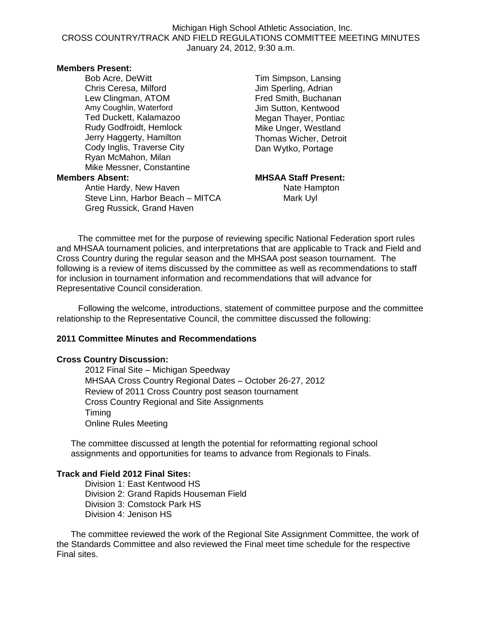### Michigan High School Athletic Association, Inc. CROSS COUNTRY/TRACK AND FIELD REGULATIONS COMMITTEE MEETING MINUTES January 24, 2012, 9:30 a.m.

#### **Members Present:**

Bob Acre, DeWitt Chris Ceresa, Milford Lew Clingman, ATOM Amy Coughlin, Waterford Ted Duckett, Kalamazoo Rudy Godfroidt, Hemlock Jerry Haggerty, Hamilton Cody Inglis, Traverse City Ryan McMahon, Milan Mike Messner, Constantine **Members Absent: MHSAA Staff Present:**

Antie Hardy, New Haven Nate Hampton Steve Linn, Harbor Beach – MITCA Mark Uyl Greg Russick, Grand Haven

Tim Simpson, Lansing Jim Sperling, Adrian Fred Smith, Buchanan Jim Sutton, Kentwood Megan Thayer, Pontiac Mike Unger, Westland Thomas Wicher, Detroit Dan Wytko, Portage

The committee met for the purpose of reviewing specific National Federation sport rules and MHSAA tournament policies, and interpretations that are applicable to Track and Field and Cross Country during the regular season and the MHSAA post season tournament. The following is a review of items discussed by the committee as well as recommendations to staff for inclusion in tournament information and recommendations that will advance for Representative Council consideration.

 Following the welcome, introductions, statement of committee purpose and the committee relationship to the Representative Council, the committee discussed the following:

#### **2011 Committee Minutes and Recommendations**

#### **Cross Country Discussion:**

2012 Final Site – Michigan Speedway MHSAA Cross Country Regional Dates – October 26-27, 2012 Review of 2011 Cross Country post season tournament Cross Country Regional and Site Assignments **Timing** Online Rules Meeting

The committee discussed at length the potential for reformatting regional school assignments and opportunities for teams to advance from Regionals to Finals.

## **Track and Field 2012 Final Sites:**

Division 1: East Kentwood HS Division 2: Grand Rapids Houseman Field Division 3: Comstock Park HS Division 4: Jenison HS

The committee reviewed the work of the Regional Site Assignment Committee, the work of the Standards Committee and also reviewed the Final meet time schedule for the respective Final sites.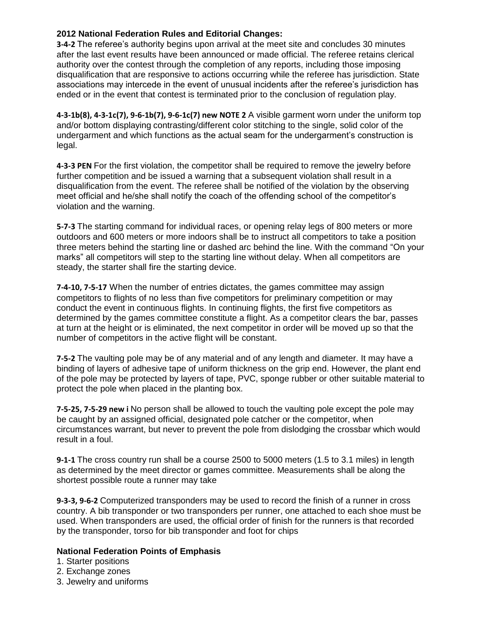## **2012 National Federation Rules and Editorial Changes:**

**3-4-2** The referee's authority begins upon arrival at the meet site and concludes 30 minutes after the last event results have been announced or made official. The referee retains clerical authority over the contest through the completion of any reports, including those imposing disqualification that are responsive to actions occurring while the referee has jurisdiction. State associations may intercede in the event of unusual incidents after the referee's jurisdiction has ended or in the event that contest is terminated prior to the conclusion of regulation play.

**4-3-1b(8), 4-3-1c(7), 9-6-1b(7), 9-6-1c(7) new NOTE 2** A visible garment worn under the uniform top and/or bottom displaying contrasting/different color stitching to the single, solid color of the undergarment and which functions as the actual seam for the undergarment's construction is legal.

**4-3-3 PEN** For the first violation, the competitor shall be required to remove the jewelry before further competition and be issued a warning that a subsequent violation shall result in a disqualification from the event. The referee shall be notified of the violation by the observing meet official and he/she shall notify the coach of the offending school of the competitor's violation and the warning.

**5-7-3** The starting command for individual races, or opening relay legs of 800 meters or more outdoors and 600 meters or more indoors shall be to instruct all competitors to take a position three meters behind the starting line or dashed arc behind the line. With the command "On your marks" all competitors will step to the starting line without delay. When all competitors are steady, the starter shall fire the starting device.

**7-4-10, 7-5-17** When the number of entries dictates, the games committee may assign competitors to flights of no less than five competitors for preliminary competition or may conduct the event in continuous flights. In continuing flights, the first five competitors as determined by the games committee constitute a flight. As a competitor clears the bar, passes at turn at the height or is eliminated, the next competitor in order will be moved up so that the number of competitors in the active flight will be constant.

**7-5-2** The vaulting pole may be of any material and of any length and diameter. It may have a binding of layers of adhesive tape of uniform thickness on the grip end. However, the plant end of the pole may be protected by layers of tape, PVC, sponge rubber or other suitable material to protect the pole when placed in the planting box.

**7-5-25, 7-5-29 new i** No person shall be allowed to touch the vaulting pole except the pole may be caught by an assigned official, designated pole catcher or the competitor, when circumstances warrant, but never to prevent the pole from dislodging the crossbar which would result in a foul.

**9-1-1** The cross country run shall be a course 2500 to 5000 meters (1.5 to 3.1 miles) in length as determined by the meet director or games committee. Measurements shall be along the shortest possible route a runner may take

**9-3-3, 9-6-2** Computerized transponders may be used to record the finish of a runner in cross country. A bib transponder or two transponders per runner, one attached to each shoe must be used. When transponders are used, the official order of finish for the runners is that recorded by the transponder, torso for bib transponder and foot for chips

## **National Federation Points of Emphasis**

- 1. Starter positions
- 2. Exchange zones
- 3. Jewelry and uniforms